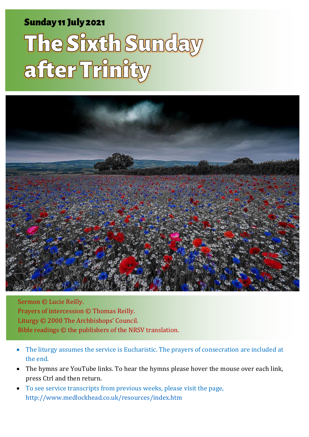# Sunday 11 July 2021 1 The Sixth Sunday 11 The Sixth Sunday 11 The Sixth Sunday 11 The Sixth Sunday 1

# The Sixth Sunday after Trinity



Sermon © Lucie Reilly. Prayers of intercession © Thomas Reilly. Liturgy © 2000 The Archbishops' Council. Bible readings © the publishers of the NRSV translation.

- The liturgy assumes the service is Eucharistic. The prayers of consecration are included at the end.
- The hymns are YouTube links. To hear the hymns please hover the mouse over each link, press Ctrl and then return.
- To see service transcripts from previous weeks, please visit the page, <http://www.medlockhead.co.uk/resources/index.htm>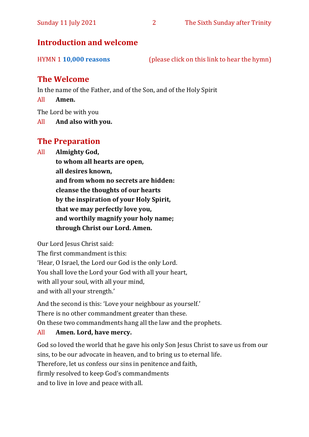#### Sunday 11 July 2021 2 2 The Sixth Sunday after Trinity

#### **Introduction and welcome**

| HYMN 1 10,000 reasons | (please click on this link to hear the hymn) |  |
|-----------------------|----------------------------------------------|--|
|-----------------------|----------------------------------------------|--|

# **The Welcome**

In the name of the Father, and of the Son, and of the Holy Spirit

All **Amen.**

The Lord be with you

All **And also with you.**

# **The Preparation**

All **Almighty God,**

**to whom all hearts are open, all desires known, and from whom no secrets are hidden: cleanse the thoughts of our hearts by the inspiration of your Holy Spirit, that we may perfectly love you, and worthily magnify your holy name; through Christ our Lord. Amen.**

Our Lord Jesus Christ said:

The first commandment is this: 'Hear, O Israel, the Lord our God is the only Lord. You shall love the Lord your God with all your heart, with all your soul, with all your mind, and with all your strength.'

And the second is this: 'Love your neighbour as yourself.' There is no other commandment greater than these. On these two commandments hang all the law and the prophets.

#### All **Amen. Lord, have mercy.**

God so loved the world that he gave his only Son Jesus Christ to save us from our sins, to be our advocate in heaven, and to bring us to eternal life. Therefore, let us confess our sins in penitence and faith, firmly resolved to keep God's commandments and to live in love and peace with all.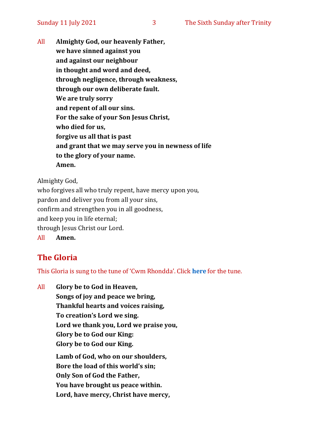All **Almighty God, our heavenly Father, we have sinned against you and against our neighbour in thought and word and deed, through negligence, through weakness, through our own deliberate fault. We are truly sorry and repent of all our sins. For the sake of your Son Jesus Christ, who died for us, forgive us all that is past and grant that we may serve you in newness of life to the glory of your name. Amen.**

Almighty God,

who forgives all who truly repent, have mercy upon you, pardon and deliver you from all your sins, confirm and strengthen you in all goodness, and keep you in life eternal; through Jesus Christ our Lord. All **Amen.**

# **The Gloria**

This Gloria is sung to the tune of 'Cwm Rhondda'. Click **[here](about:blank)** for the tune.

All **Glory be to God in Heaven, Songs of joy and peace we bring, Thankful hearts and voices raising, To creation's Lord we sing. Lord we thank you, Lord we praise you, Glory be to God our King: Glory be to God our King. Lamb of God, who on our shoulders, Bore the load of this world's sin; Only Son of God the Father, You have brought us peace within. Lord, have mercy, Christ have mercy,**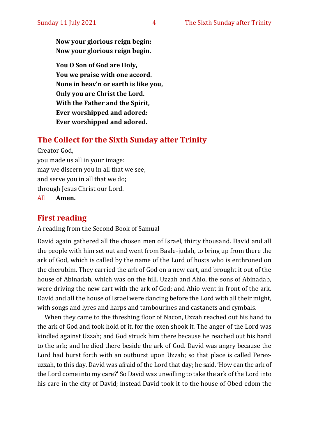**Now your glorious reign begin: Now your glorious reign begin.**

**You O Son of God are Holy, You we praise with one accord. None in heav'n or earth is like you, Only you are Christ the Lord. With the Father and the Spirit, Ever worshipped and adored: Ever worshipped and adored.**

## **The Collect for the Sixth Sunday after Trinity**

Creator God, you made us all in your image: may we discern you in all that we see, and serve you in all that we do; through Jesus Christ our Lord.

All **Amen.**

## **First reading**

A reading from the Second Book of Samual

David again gathered all the chosen men of Israel, thirty thousand. David and all the people with him set out and went from Baale-judah, to bring up from there the ark of God, which is called by the name of the Lord of hosts who is enthroned on the cherubim. They carried the ark of God on a new cart, and brought it out of the house of Abinadab, which was on the hill. Uzzah and Ahio, the sons of Abinadab, were driving the new cart with the ark of God; and Ahio went in front of the ark. David and all the house of Israel were dancing before the Lord with all their might, with songs and lyres and harps and tambourines and castanets and cymbals.

When they came to the threshing floor of Nacon, Uzzah reached out his hand to the ark of God and took hold of it, for the oxen shook it. The anger of the Lord was kindled against Uzzah; and God struck him there because he reached out his hand to the ark; and he died there beside the ark of God. David was angry because the Lord had burst forth with an outburst upon Uzzah; so that place is called Perezuzzah, to this day. David was afraid of the Lord that day; he said, 'How can the ark of the Lord come into my care?' So David was unwilling to take the ark of the Lord into his care in the city of David; instead David took it to the house of Obed-edom the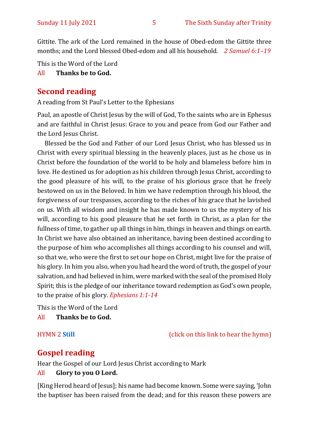Gittite. The ark of the Lord remained in the house of Obed-edom the Gittite three months; and the Lord blessed Obed-edom and all his household. *2 Samuel 6:1–19*

This is the Word of the Lord

All **Thanks be to God.**

# **Second reading**

A reading from St Paul's Letter to the Ephesians

Paul, an apostle of Christ Jesus by the will of God, To the saints who are in Ephesus and are faithful in Christ Jesus: Grace to you and peace from God our Father and the Lord Jesus Christ.

Blessed be the God and Father of our Lord Jesus Christ, who has blessed us in Christ with every spiritual blessing in the heavenly places, just as he chose us in Christ before the foundation of the world to be holy and blameless before him in love. He destined us for adoption as his children through Jesus Christ, according to the good pleasure of his will, to the praise of his glorious grace that he freely bestowed on us in the Beloved. In him we have redemption through his blood, the forgiveness of our trespasses, according to the riches of his grace that he lavished on us. With all wisdom and insight he has made known to us the mystery of his will, according to his good pleasure that he set forth in Christ, as a plan for the fullness of time, to gather up all things in him, things in heaven and things on earth. In Christ we have also obtained an inheritance, having been destined according to the purpose of him who accomplishes all things according to his counsel and will, so that we, who were the first to set our hope on Christ, might live for the praise of his glory. In him you also, when you had heard the word of truth, the gospel of your salvation, and had believed in him, were marked with the seal of the promised Holy Spirit; this is the pledge of our inheritance toward redemption as God's own people, to the praise of his glory. *Ephesians 1:1-14*

This is the Word of the Lord All **Thanks be to God.**

HYMN 2 **[Still](https://www.youtube.com/watch?v=dG_8DYmSAAA)** (click on this link to hear the hymn)

# **Gospel reading**

Hear the Gospel of our Lord Jesus Christ according to Mark All **Glory to you O Lord.**

[King Herod heard of Jesus]; his name had become known. Some were saying, 'John the baptiser has been raised from the dead; and for this reason these powers are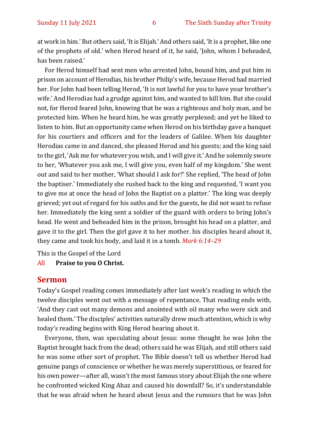at work in him.' But others said, 'It is Elijah.' And others said, 'It is a prophet, like one of the prophets of old.' when Herod heard of it, he said, 'John, whom I beheaded, has been raised.'

For Herod himself had sent men who arrested John, bound him, and put him in prison on account of Herodias, his brother Philip's wife, because Herod had married her. For John had been telling Herod, 'It is not lawful for you to have your brother's wife.' And Herodias had a grudge against him, and wanted to kill him. But she could not, for Herod feared John, knowing that he was a righteous and holy man, and he protected him. When he heard him, he was greatly perplexed; and yet he liked to listen to him. But an opportunity came when Herod on his birthday gave a banquet for his courtiers and officers and for the leaders of Galilee. When his daughter Herodias came in and danced, she pleased Herod and his guests; and the king said to the girl, 'Ask me for whatever you wish, and I will give it.' And he solemnly swore to her, 'Whatever you ask me, I will give you, even half of my kingdom.' She went out and said to her mother, 'What should I ask for?' She replied, 'The head of John the baptiser.' Immediately she rushed back to the king and requested, 'I want you to give me at once the head of John the Baptist on a platter.' The king was deeply grieved; yet out of regard for his oaths and for the guests, he did not want to refuse her. Immediately the king sent a soldier of the guard with orders to bring John's head. He went and beheaded him in the prison, brought his head on a platter, and gave it to the girl. Then the girl gave it to her mother. his disciples heard about it, they came and took his body, and laid it in a tomb. *Mark 6:14–29*

This is the Gospel of the Lord

All **Praise to you O Christ.** 

#### **Sermon**

Today's Gospel reading comes immediately after last week's reading in which the twelve disciples went out with a message of repentance. That reading ends with, 'And they cast out many demons and anointed with oil many who were sick and healed them.' The disciples' activities naturally drew much attention, which is why today's reading begins with King Herod hearing about it.

Everyone, then, was speculating about Jesus: some thought he was John the Baptist brought back from the dead; others said he was Elijah, and still others said he was some other sort of prophet. The Bible doesn't tell us whether Herod had genuine pangs of conscience or whether he was merely superstitious, or feared for his own power—after all, wasn't the most famous story about Elijah the one where he confronted wicked King Ahaz and caused his downfall? So, it's understandable that he was afraid when he heard about Jesus and the rumours that he was John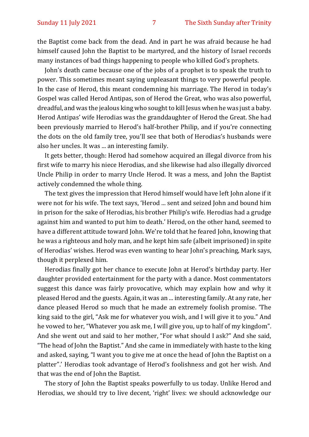the Baptist come back from the dead. And in part he was afraid because he had himself caused John the Baptist to be martyred, and the history of Israel records many instances of bad things happening to people who killed God's prophets.

John's death came because one of the jobs of a prophet is to speak the truth to power. This sometimes meant saying unpleasant things to very powerful people. In the case of Herod, this meant condemning his marriage. The Herod in today's Gospel was called Herod Antipas, son of Herod the Great, who was also powerful, dreadful, and was the jealous king who sought to kill Jesus when he was just a baby. Herod Antipas' wife Herodias was the granddaughter of Herod the Great. She had been previously married to Herod's half-brother Philip, and if you're connecting the dots on the old family tree, you'll see that both of Herodias's husbands were also her uncles. It was ... an interesting family.

It gets better, though: Herod had somehow acquired an illegal divorce from his first wife to marry his niece Herodias, and she likewise had also illegally divorced Uncle Philip in order to marry Uncle Herod. It was a mess, and John the Baptist actively condemned the whole thing.

The text gives the impression that Herod himself would have left John alone if it were not for his wife. The text says, 'Herod ... sent and seized John and bound him in prison for the sake of Herodias, his brother Philip's wife. Herodias had a grudge against him and wanted to put him to death.' Herod, on the other hand, seemed to have a different attitude toward John. We're told that he feared John, knowing that he was a righteous and holy man, and he kept him safe (albeit imprisoned) in spite of Herodias' wishes. Herod was even wanting to hear John's preaching, Mark says, though it perplexed him.

Herodias finally got her chance to execute John at Herod's birthday party. Her daughter provided entertainment for the party with a dance. Most commentators suggest this dance was fairly provocative, which may explain how and why it pleased Herod and the guests. Again, it was an ... interesting family. At any rate, her dance pleased Herod so much that he made an extremely foolish promise. 'The king said to the girl, "Ask me for whatever you wish, and I will give it to you." And he vowed to her, "Whatever you ask me, I will give you, up to half of my kingdom". And she went out and said to her mother, "For what should I ask?" And she said, "The head of John the Baptist." And she came in immediately with haste to the king and asked, saying, "I want you to give me at once the head of John the Baptist on a platter".' Herodias took advantage of Herod's foolishness and got her wish. And that was the end of John the Baptist.

The story of John the Baptist speaks powerfully to us today. Unlike Herod and Herodias, we should try to live decent, 'right' lives: we should acknowledge our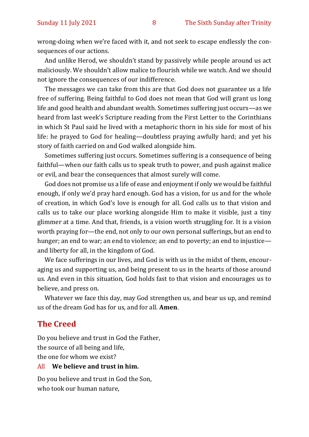wrong-doing when we're faced with it, and not seek to escape endlessly the consequences of our actions.

And unlike Herod, we shouldn't stand by passively while people around us act maliciously. We shouldn't allow malice to flourish while we watch. And we should not ignore the consequences of our indifference.

The messages we can take from this are that God does not guarantee us a life free of suffering. Being faithful to God does not mean that God will grant us long life and good health and abundant wealth. Sometimes suffering just occurs—as we heard from last week's Scripture reading from the First Letter to the Corinthians in which St Paul said he lived with a metaphoric thorn in his side for most of his life: he prayed to God for healing—doubtless praying awfully hard; and yet his story of faith carried on and God walked alongside him.

Sometimes suffering just occurs. Sometimes suffering is a consequence of being faithful—when our faith calls us to speak truth to power, and push against malice or evil, and bear the consequences that almost surely will come.

God does not promise us a life of ease and enjoyment if only we would be faithful enough, if only we'd pray hard enough. God has a vision, for us and for the whole of creation, in which God's love is enough for all. God calls us to that vision and calls us to take our place working alongside Him to make it visible, just a tiny glimmer at a time. And that, friends, is a vision worth struggling for. It is a vision worth praying for—the end, not only to our own personal sufferings, but an end to hunger; an end to war; an end to violence; an end to poverty; an end to injustice and liberty for all, in the kingdom of God.

We face sufferings in our lives, and God is with us in the midst of them, encouraging us and supporting us, and being present to us in the hearts of those around us. And even in this situation, God holds fast to that vision and encourages us to believe, and press on.

Whatever we face this day, may God strengthen us, and bear us up, and remind us of the dream God has for us, and for all. **Amen**.

#### **The Creed**

Do you believe and trust in God the Father, the source of all being and life,

the one for whom we exist?

#### All **We believe and trust in him.**

Do you believe and trust in God the Son, who took our human nature,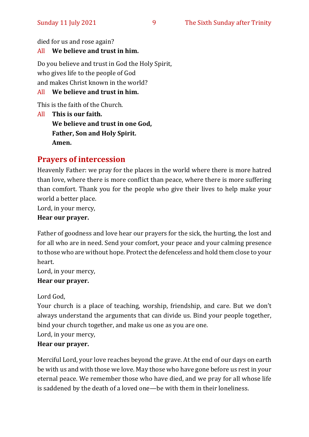died for us and rose again?

#### All **We believe and trust in him.**

Do you believe and trust in God the Holy Spirit, who gives life to the people of God and makes Christ known in the world?

#### All **We believe and trust in him.**

This is the faith of the Church.

All **This is our faith. We believe and trust in one God, Father, Son and Holy Spirit. Amen.**

## **Prayers of intercession**

Heavenly Father: we pray for the places in the world where there is more hatred than love, where there is more conflict than peace, where there is more suffering than comfort. Thank you for the people who give their lives to help make your world a better place.

Lord, in your mercy,

#### **Hear our prayer.**

Father of goodness and love hear our prayers for the sick, the hurting, the lost and for all who are in need. Send your comfort, your peace and your calming presence to those who are without hope. Protect the defenceless and hold them close to your heart.

Lord, in your mercy,

#### **Hear our prayer.**

Lord God,

Your church is a place of teaching, worship, friendship, and care. But we don't always understand the arguments that can divide us. Bind your people together, bind your church together, and make us one as you are one.

Lord, in your mercy,

#### **Hear our prayer.**

Merciful Lord, your love reaches beyond the grave. At the end of our days on earth be with us and with those we love. May those who have gone before us rest in your eternal peace. We remember those who have died, and we pray for all whose life is saddened by the death of a loved one—be with them in their loneliness.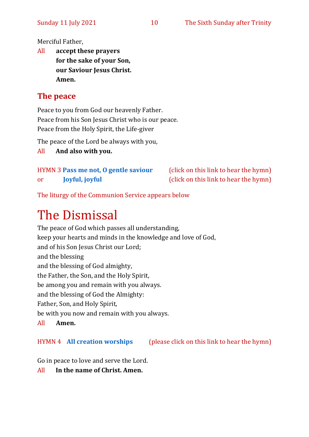Merciful Father,

All **accept these prayers for the sake of your Son, our Saviour Jesus Christ. Amen.**

# **The peace**

Peace to you from God our heavenly Father. Peace from his Son Jesus Christ who is our peace. Peace from the Holy Spirit, the Life-giver

The peace of the Lord be always with you,

All **And also with you.**

|           | HYMN 3 Pass me not, 0 gentle saviour | (click on this link to hear the hymn) |
|-----------|--------------------------------------|---------------------------------------|
| <b>or</b> | Joyful, joyful                       | (click on this link to hear the hymn) |

The liturgy of the Communion Service appears below

# The Dismissal

The peace of God which passes all understanding, keep your hearts and minds in the knowledge and love of God, and of his Son Jesus Christ our Lord; and the blessing and the blessing of God almighty, the Father, the Son, and the Holy Spirit, be among you and remain with you always. and the blessing of God the Almighty: Father, Son, and Holy Spirit, be with you now and remain with you always. All **Amen.**

#### HYMN 4 **[All creation worships](https://www.youtube.com/watch?v=jE6GNhjS34A)** (please click on this link to hear the hymn)

Go in peace to love and serve the Lord.

#### All **In the name of Christ. Amen.**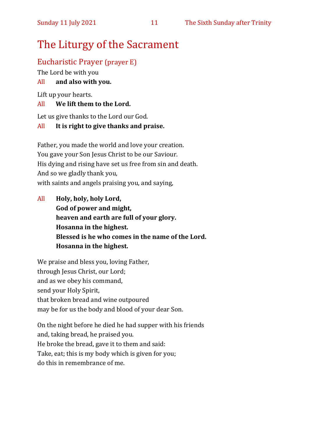# The Liturgy of the Sacrament

# Eucharistic Prayer (prayer E)

The Lord be with you

#### All **and also with you.**

Lift up your hearts.

#### All **We lift them to the Lord.**

Let us give thanks to the Lord our God.

#### All **It is right to give thanks and praise.**

Father, you made the world and love your creation. You gave your Son Jesus Christ to be our Saviour. His dying and rising have set us free from sin and death. And so we gladly thank you, with saints and angels praising you, and saying,

All **Holy, holy, holy Lord, God of power and might, heaven and earth are full of your glory. Hosanna in the highest. Blessed is he who comes in the name of the Lord. Hosanna in the highest.**

We praise and bless you, loving Father, through Jesus Christ, our Lord; and as we obey his command, send your Holy Spirit, that broken bread and wine outpoured may be for us the body and blood of your dear Son.

On the night before he died he had supper with his friends and, taking bread, he praised you. He broke the bread, gave it to them and said: Take, eat; this is my body which is given for you; do this in remembrance of me.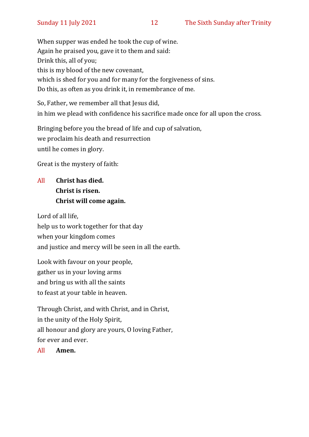When supper was ended he took the cup of wine. Again he praised you, gave it to them and said: Drink this, all of you; this is my blood of the new covenant, which is shed for you and for many for the forgiveness of sins. Do this, as often as you drink it, in remembrance of me.

So, Father, we remember all that Jesus did, in him we plead with confidence his sacrifice made once for all upon the cross.

Bringing before you the bread of life and cup of salvation, we proclaim his death and resurrection until he comes in glory.

Great is the mystery of faith:

# All **Christ has died. Christ is risen. Christ will come again.**

Lord of all life, help us to work together for that day when your kingdom comes and justice and mercy will be seen in all the earth.

Look with favour on your people, gather us in your loving arms and bring us with all the saints to feast at your table in heaven.

Through Christ, and with Christ, and in Christ, in the unity of the Holy Spirit, all honour and glory are yours, O loving Father, for ever and ever.

All **Amen.**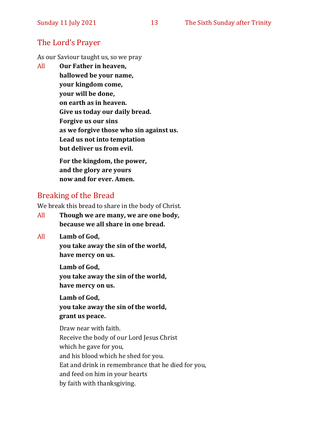# The Lord's Prayer

As our Saviour taught us, so we pray

All **Our Father in heaven, hallowed be your name, your kingdom come, your will be done, on earth as in heaven. Give us today our daily bread. Forgive us our sins as we forgive those who sin against us. Lead us not into temptation but deliver us from evil. For the kingdom, the power,** 

**and the glory are yours now and for ever. Amen.**

# Breaking of the Bread

We break this bread to share in the body of Christ.

- All **Though we are many, we are one body, because we all share in one bread.**
- All **Lamb of God,**

**you take away the sin of the world, have mercy on us.**

**Lamb of God, you take away the sin of the world, have mercy on us.**

**Lamb of God, you take away the sin of the world, grant us peace.**

Draw near with faith. Receive the body of our Lord Jesus Christ which he gave for you, and his blood which he shed for you. Eat and drink in remembrance that he died for you, and feed on him in your hearts by faith with thanksgiving.